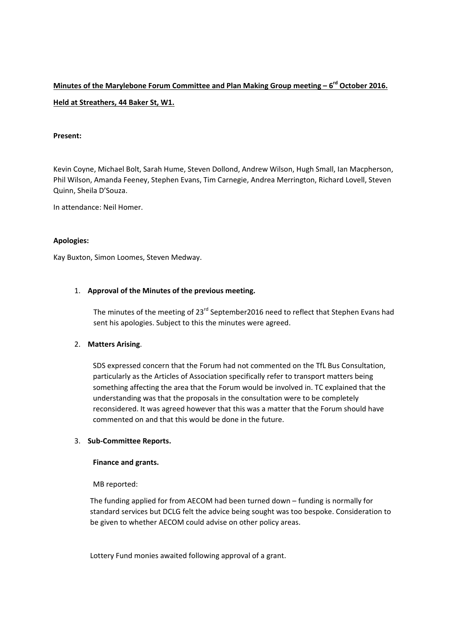# **Minutes of the Marylebone Forum Committee and Plan Making Group meeting – 6rd October 2016. Held at Streathers, 44 Baker St, W1.**

# **Present:**

Kevin Coyne, Michael Bolt, Sarah Hume, Steven Dollond, Andrew Wilson, Hugh Small, Ian Macpherson, Phil Wilson, Amanda Feeney, Stephen Evans, Tim Carnegie, Andrea Merrington, Richard Lovell, Steven Quinn, Sheila D'Souza.

In attendance: Neil Homer.

# **Apologies:**

Kay Buxton, Simon Loomes, Steven Medway.

# 1. **Approval of the Minutes of the previous meeting.**

The minutes of the meeting of 23<sup>rd</sup> September2016 need to reflect that Stephen Evans had sent his apologies. Subject to this the minutes were agreed.

#### 2. **Matters Arising**.

SDS expressed concern that the Forum had not commented on the TfL Bus Consultation, particularly as the Articles of Association specifically refer to transport matters being something affecting the area that the Forum would be involved in. TC explained that the understanding was that the proposals in the consultation were to be completely reconsidered. It was agreed however that this was a matter that the Forum should have commented on and that this would be done in the future.

# 3. **Sub‐Committee Reports.**

#### **Finance and grants.**

MB reported:

The funding applied for from AECOM had been turned down – funding is normally for standard services but DCLG felt the advice being sought was too bespoke. Consideration to be given to whether AECOM could advise on other policy areas.

Lottery Fund monies awaited following approval of a grant.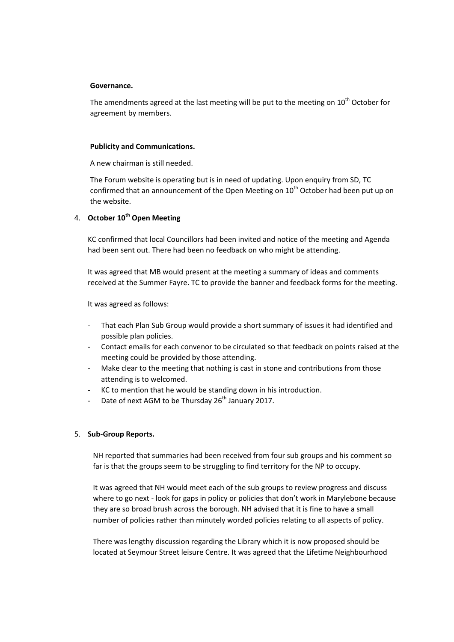#### **Governance.**

The amendments agreed at the last meeting will be put to the meeting on  $10<sup>th</sup>$  October for agreement by members.

#### **Publicity and Communications.**

A new chairman is still needed.

The Forum website is operating but is in need of updating. Upon enquiry from SD, TC confirmed that an announcement of the Open Meeting on  $10<sup>th</sup>$  October had been put up on the website.

# 4. **October 10th Open Meeting**

KC confirmed that local Councillors had been invited and notice of the meeting and Agenda had been sent out. There had been no feedback on who might be attending.

It was agreed that MB would present at the meeting a summary of ideas and comments received at the Summer Fayre. TC to provide the banner and feedback forms for the meeting.

It was agreed as follows:

- That each Plan Sub Group would provide a short summary of issues it had identified and possible plan policies.
- ‐ Contact emails for each convenor to be circulated so that feedback on points raised at the meeting could be provided by those attending.
- Make clear to the meeting that nothing is cast in stone and contributions from those attending is to welcomed.
- KC to mention that he would be standing down in his introduction.
- Date of next AGM to be Thursday 26<sup>th</sup> January 2017.

#### 5. **Sub‐Group Reports.**

NH reported that summaries had been received from four sub groups and his comment so far is that the groups seem to be struggling to find territory for the NP to occupy.

It was agreed that NH would meet each of the sub groups to review progress and discuss where to go next - look for gaps in policy or policies that don't work in Marylebone because they are so broad brush across the borough. NH advised that it is fine to have a small number of policies rather than minutely worded policies relating to all aspects of policy.

There was lengthy discussion regarding the Library which it is now proposed should be located at Seymour Street leisure Centre. It was agreed that the Lifetime Neighbourhood